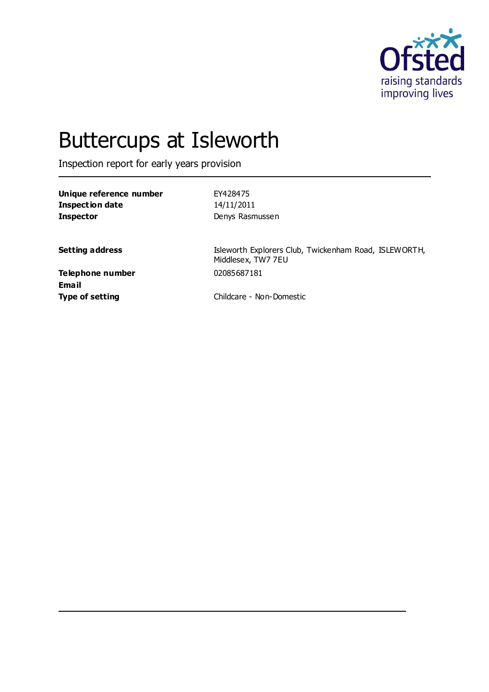

# Buttercups at Isleworth

Inspection report for early years provision

| Unique reference number | EY428475        |
|-------------------------|-----------------|
| Inspection date         | 14/11/2011      |
| <b>Inspector</b>        | Denys Rasmussen |

**Setting address ISleworth Explorers Club, Twickenham Road, ISLEWORTH,** Middlesex, TW7 7EU

**Telephone number** 02085687181 **Email**

**Type of setting** Childcare - Non-Domestic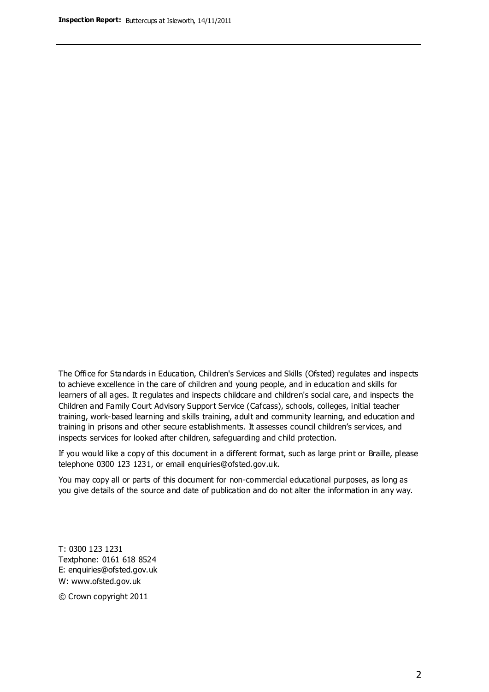The Office for Standards in Education, Children's Services and Skills (Ofsted) regulates and inspects to achieve excellence in the care of children and young people, and in education and skills for learners of all ages. It regulates and inspects childcare and children's social care, and inspects the Children and Family Court Advisory Support Service (Cafcass), schools, colleges, initial teacher training, work-based learning and skills training, adult and community learning, and education and training in prisons and other secure establishments. It assesses council children's services, and inspects services for looked after children, safeguarding and child protection.

If you would like a copy of this document in a different format, such as large print or Braille, please telephone 0300 123 1231, or email enquiries@ofsted.gov.uk.

You may copy all or parts of this document for non-commercial educational purposes, as long as you give details of the source and date of publication and do not alter the information in any way.

T: 0300 123 1231 Textphone: 0161 618 8524 E: enquiries@ofsted.gov.uk W: [www.ofsted.gov.uk](http://www.ofsted.gov.uk/)

© Crown copyright 2011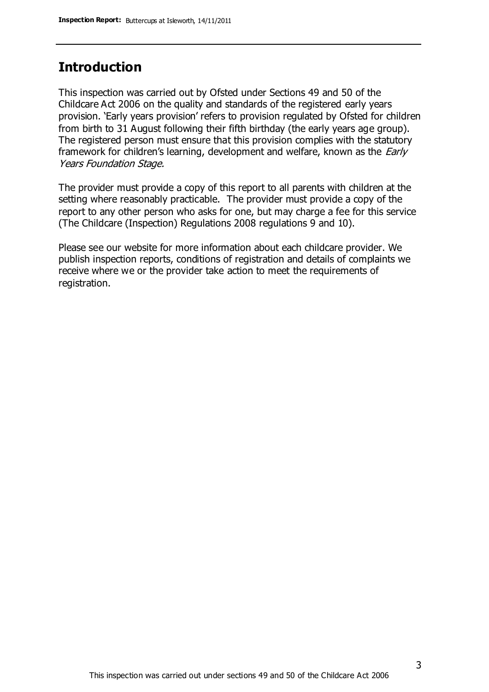#### **Introduction**

This inspection was carried out by Ofsted under Sections 49 and 50 of the Childcare Act 2006 on the quality and standards of the registered early years provision. 'Early years provision' refers to provision regulated by Ofsted for children from birth to 31 August following their fifth birthday (the early years age group). The registered person must ensure that this provision complies with the statutory framework for children's learning, development and welfare, known as the *Early* Years Foundation Stage.

The provider must provide a copy of this report to all parents with children at the setting where reasonably practicable. The provider must provide a copy of the report to any other person who asks for one, but may charge a fee for this service (The Childcare (Inspection) Regulations 2008 regulations 9 and 10).

Please see our website for more information about each childcare provider. We publish inspection reports, conditions of registration and details of complaints we receive where we or the provider take action to meet the requirements of registration.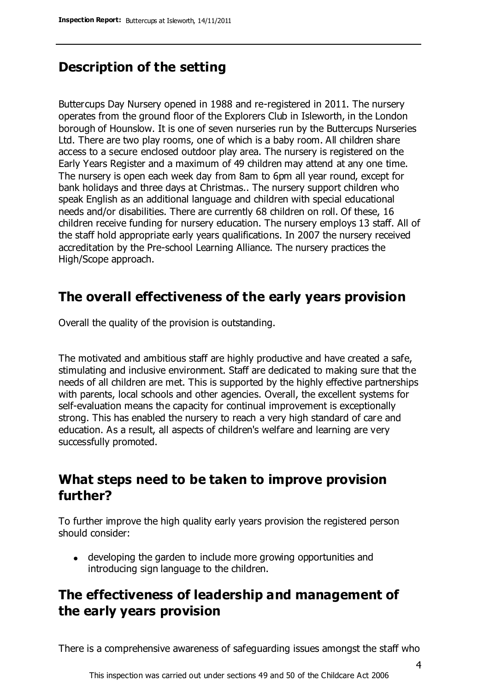# **Description of the setting**

Buttercups Day Nursery opened in 1988 and re-registered in 2011. The nursery operates from the ground floor of the Explorers Club in Isleworth, in the London borough of Hounslow. It is one of seven nurseries run by the Buttercups Nurseries Ltd. There are two play rooms, one of which is a baby room. All children share access to a secure enclosed outdoor play area. The nursery is registered on the Early Years Register and a maximum of 49 children may attend at any one time. The nursery is open each week day from 8am to 6pm all year round, except for bank holidays and three days at Christmas.. The nursery support children who speak English as an additional language and children with special educational needs and/or disabilities. There are currently 68 children on roll. Of these, 16 children receive funding for nursery education. The nursery employs 13 staff. All of the staff hold appropriate early years qualifications. In 2007 the nursery received accreditation by the Pre-school Learning Alliance. The nursery practices the High/Scope approach.

#### **The overall effectiveness of the early years provision**

Overall the quality of the provision is outstanding.

The motivated and ambitious staff are highly productive and have created a safe, stimulating and inclusive environment. Staff are dedicated to making sure that the needs of all children are met. This is supported by the highly effective partnerships with parents, local schools and other agencies. Overall, the excellent systems for self-evaluation means the capacity for continual improvement is exceptionally strong. This has enabled the nursery to reach a very high standard of care and education. As a result, all aspects of children's welfare and learning are very successfully promoted.

# **What steps need to be taken to improve provision further?**

To further improve the high quality early years provision the registered person should consider:

developing the garden to include more growing opportunities and introducing sign language to the children.

# **The effectiveness of leadership and management of the early years provision**

There is a comprehensive awareness of safeguarding issues amongst the staff who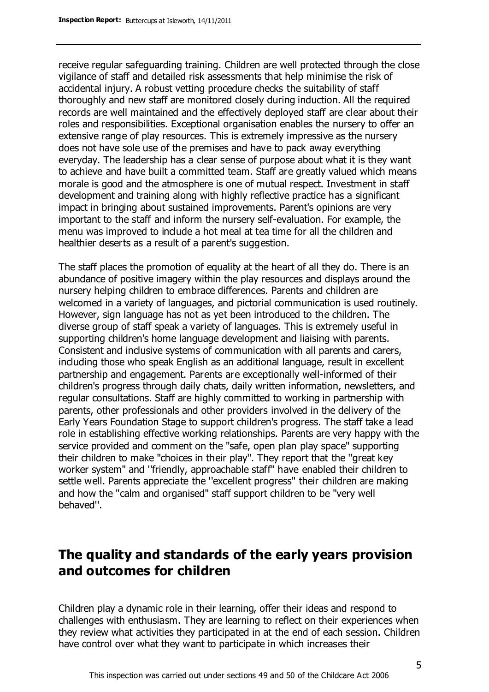receive regular safeguarding training. Children are well protected through the close vigilance of staff and detailed risk assessments that help minimise the risk of accidental injury. A robust vetting procedure checks the suitability of staff thoroughly and new staff are monitored closely during induction. All the required records are well maintained and the effectively deployed staff are clear about their roles and responsibilities. Exceptional organisation enables the nursery to offer an extensive range of play resources. This is extremely impressive as the nursery does not have sole use of the premises and have to pack away everything everyday. The leadership has a clear sense of purpose about what it is they want to achieve and have built a committed team. Staff are greatly valued which means morale is good and the atmosphere is one of mutual respect. Investment in staff development and training along with highly reflective practice has a significant impact in bringing about sustained improvements. Parent's opinions are very important to the staff and inform the nursery self-evaluation. For example, the menu was improved to include a hot meal at tea time for all the children and healthier deserts as a result of a parent's suggestion.

The staff places the promotion of equality at the heart of all they do. There is an abundance of positive imagery within the play resources and displays around the nursery helping children to embrace differences. Parents and children are welcomed in a variety of languages, and pictorial communication is used routinely. However, sign language has not as yet been introduced to the children. The diverse group of staff speak a variety of languages. This is extremely useful in supporting children's home language development and liaising with parents. Consistent and inclusive systems of communication with all parents and carers, including those who speak English as an additional language, result in excellent partnership and engagement. Parents are exceptionally well-informed of their children's progress through daily chats, daily written information, newsletters, and regular consultations. Staff are highly committed to working in partnership with parents, other professionals and other providers involved in the delivery of the Early Years Foundation Stage to support children's progress. The staff take a lead role in establishing effective working relationships. Parents are very happy with the service provided and comment on the ''safe, open plan play space'' supporting their children to make ''choices in their play''. They report that the ''great key worker system'' and ''friendly, approachable staff'' have enabled their children to settle well. Parents appreciate the ''excellent progress'' their children are making and how the ''calm and organised'' staff support children to be ''very well behaved''.

# **The quality and standards of the early years provision and outcomes for children**

Children play a dynamic role in their learning, offer their ideas and respond to challenges with enthusiasm. They are learning to reflect on their experiences when they review what activities they participated in at the end of each session. Children have control over what they want to participate in which increases their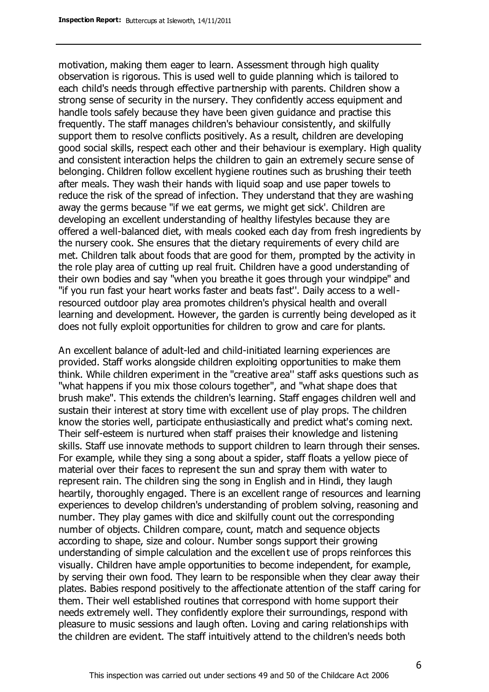motivation, making them eager to learn. Assessment through high quality observation is rigorous. This is used well to guide planning which is tailored to each child's needs through effective partnership with parents. Children show a strong sense of security in the nursery. They confidently access equipment and handle tools safely because they have been given guidance and practise this frequently. The staff manages children's behaviour consistently, and skilfully support them to resolve conflicts positively. As a result, children are developing good social skills, respect each other and their behaviour is exemplary. High quality and consistent interaction helps the children to gain an extremely secure sense of belonging. Children follow excellent hygiene routines such as brushing their teeth after meals. They wash their hands with liquid soap and use paper towels to reduce the risk of the spread of infection. They understand that they are washing away the germs because ''if we eat germs, we might get sick'. Children are developing an excellent understanding of healthy lifestyles because they are offered a well-balanced diet, with meals cooked each day from fresh ingredients by the nursery cook. She ensures that the dietary requirements of every child are met. Children talk about foods that are good for them, prompted by the activity in the role play area of cutting up real fruit. Children have a good understanding of their own bodies and say ''when you breathe it goes through your windpipe'' and ''if you run fast your heart works faster and beats fast''. Daily access to a wellresourced outdoor play area promotes children's physical health and overall learning and development. However, the garden is currently being developed as it does not fully exploit opportunities for children to grow and care for plants.

An excellent balance of adult-led and child-initiated learning experiences are provided. Staff works alongside children exploiting opportunities to make them think. While children experiment in the ''creative area'' staff asks questions such as ''what happens if you mix those colours together'', and ''what shape does that brush make''. This extends the children's learning. Staff engages children well and sustain their interest at story time with excellent use of play props. The children know the stories well, participate enthusiastically and predict what's coming next. Their self-esteem is nurtured when staff praises their knowledge and listening skills. Staff use innovate methods to support children to learn through their senses. For example, while they sing a song about a spider, staff floats a yellow piece of material over their faces to represent the sun and spray them with water to represent rain. The children sing the song in English and in Hindi, they laugh heartily, thoroughly engaged. There is an excellent range of resources and learning experiences to develop children's understanding of problem solving, reasoning and number. They play games with dice and skilfully count out the corresponding number of objects. Children compare, count, match and sequence objects according to shape, size and colour. Number songs support their growing understanding of simple calculation and the excellent use of props reinforces this visually. Children have ample opportunities to become independent, for example, by serving their own food. They learn to be responsible when they clear away their plates. Babies respond positively to the affectionate attention of the staff caring for them. Their well established routines that correspond with home support their needs extremely well. They confidently explore their surroundings, respond with pleasure to music sessions and laugh often. Loving and caring relationships with the children are evident. The staff intuitively attend to the children's needs both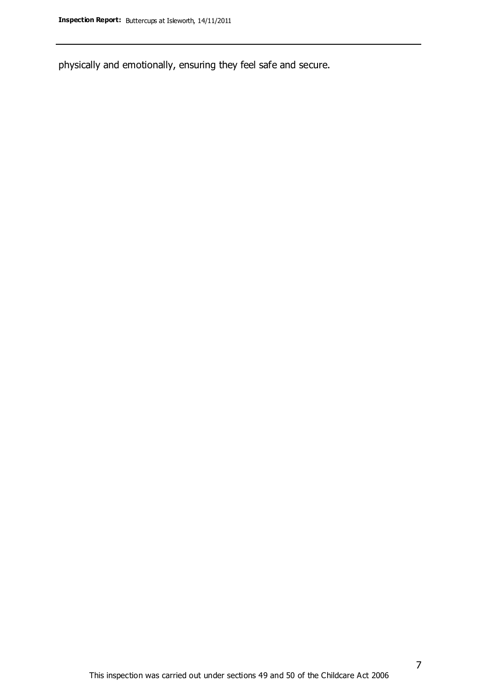physically and emotionally, ensuring they feel safe and secure.